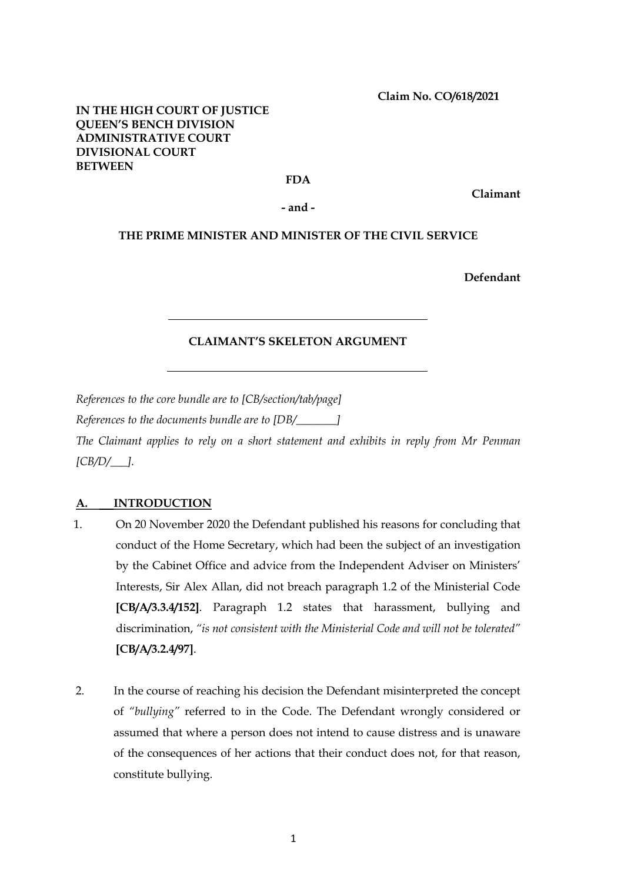**Claim No. CO/618/2021**

## **IN THE HIGH COURT OF JUSTICE QUEEN'S BENCH DIVISION ADMINISTRATIVE COURT DIVISIONAL COURT BETWEEN**

## **FDA**

**Claimant** 

**- and -**

## **THE PRIME MINISTER AND MINISTER OF THE CIVIL SERVICE**

**Defendant**

## **CLAIMANT'S SKELETON ARGUMENT**

*References to the core bundle are to [CB/section/tab/page]*

*References to the documents bundle are to [DB/\_\_\_\_\_\_\_]*

*The Claimant applies to rely on a short statement and exhibits in reply from Mr Penman [CB/D/\_\_\_].* 

## **A. INTRODUCTION**

- 1. On 20 November 2020 the Defendant published his reasons for concluding that conduct of the Home Secretary, which had been the subject of an investigation by the Cabinet Office and advice from the Independent Adviser on Ministers' Interests, Sir Alex Allan, did not breach paragraph 1.2 of the Ministerial Code **[CB/A/3.3.4/152]**. Paragraph 1.2 states that harassment, bullying and discrimination, *"is not consistent with the Ministerial Code and will not be tolerated"* **[CB/A/3.2.4/97]**.
- 2. In the course of reaching his decision the Defendant misinterpreted the concept of *"bullying"* referred to in the Code. The Defendant wrongly considered or assumed that where a person does not intend to cause distress and is unaware of the consequences of her actions that their conduct does not, for that reason, constitute bullying.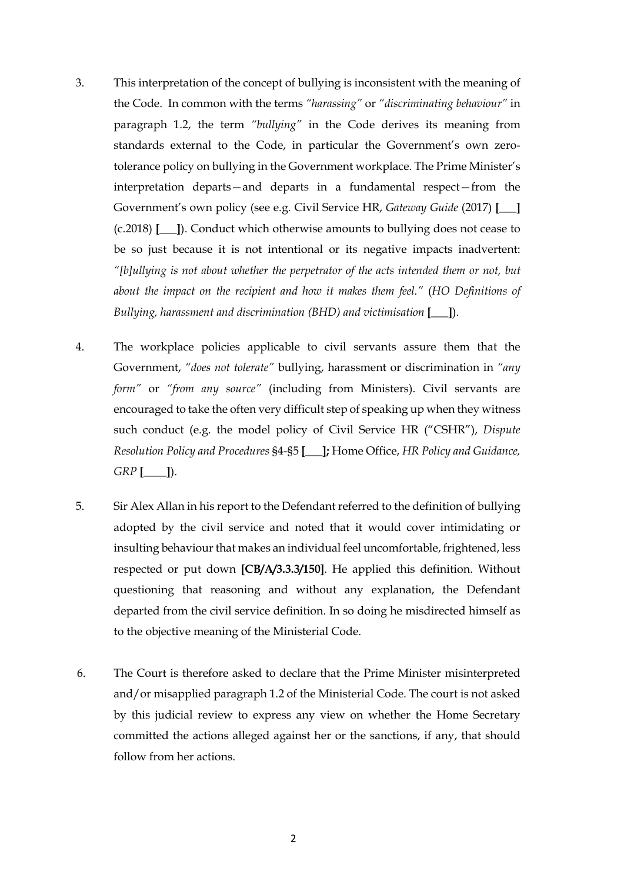- 3. This interpretation of the concept of bullying is inconsistent with the meaning of the Code. In common with the terms *"harassing"* or *"discriminating behaviour"* in paragraph 1.2, the term *"bullying"* in the Code derives its meaning from standards external to the Code, in particular the Government's own zerotolerance policy on bullying in the Government workplace. The Prime Minister's interpretation departs—and departs in a fundamental respect—from the Government's own policy (see e.g. Civil Service HR, *Gateway Guide* (2017) **[\_\_\_]**  (c.2018) **[\_\_\_]**). Conduct which otherwise amounts to bullying does not cease to be so just because it is not intentional or its negative impacts inadvertent: *"[b]ullying is not about whether the perpetrator of the acts intended them or not, but about the impact on the recipient and how it makes them feel."* (*HO Definitions of Bullying, harassment and discrimination (BHD) and victimisation* **[\_\_\_]**).
- 4. The workplace policies applicable to civil servants assure them that the Government, *"does not tolerate"* bullying, harassment or discrimination in *"any form"* or *"from any source"* (including from Ministers). Civil servants are encouraged to take the often very difficult step of speaking up when they witness such conduct (e.g. the model policy of Civil Service HR ("CSHR"), *Dispute Resolution Policy and Procedures* §4-§5 **[\_\_\_];** Home Office, *HR Policy and Guidance, GRP* **[\_\_\_\_]**).
- 5. Sir Alex Allan in his report to the Defendant referred to the definition of bullying adopted by the civil service and noted that it would cover intimidating or insulting behaviour that makes an individual feel uncomfortable, frightened, less respected or put down **[CB/A/3.3.3/150]**. He applied this definition. Without questioning that reasoning and without any explanation, the Defendant departed from the civil service definition. In so doing he misdirected himself as to the objective meaning of the Ministerial Code.
- 6. The Court is therefore asked to declare that the Prime Minister misinterpreted and/or misapplied paragraph 1.2 of the Ministerial Code. The court is not asked by this judicial review to express any view on whether the Home Secretary committed the actions alleged against her or the sanctions, if any, that should follow from her actions.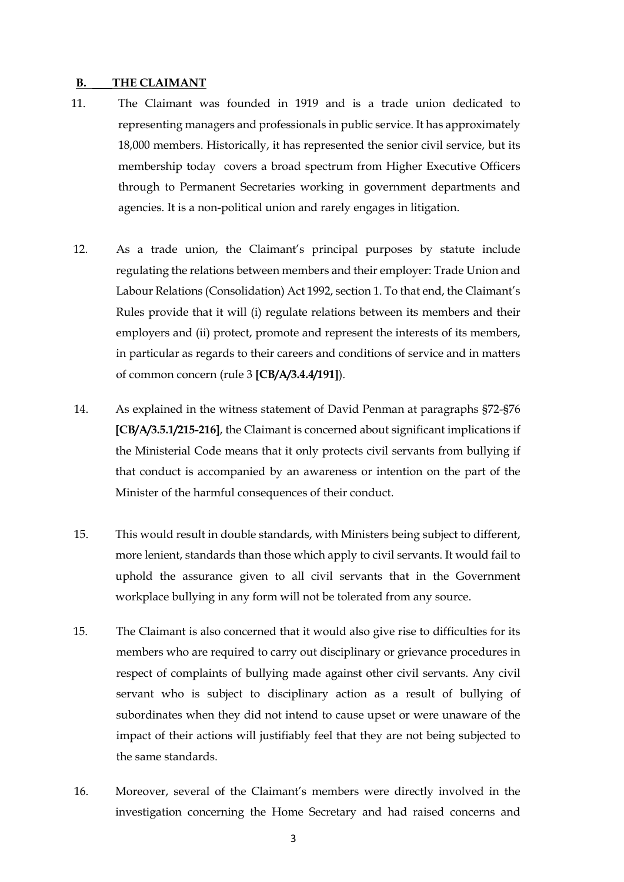#### **B. THE CLAIMANT**

- 11. The Claimant was founded in 1919 and is a trade union dedicated to representing managers and professionals in public service. It has approximately 18,000 members. Historically, it has represented the senior civil service, but its membership today covers a broad spectrum from Higher Executive Officers through to Permanent Secretaries working in government departments and agencies. It is a non-political union and rarely engages in litigation.
- 12. As a trade union, the Claimant's principal purposes by statute include regulating the relations between members and their employer: Trade Union and Labour Relations (Consolidation) Act 1992, section 1. To that end, the Claimant's Rules provide that it will (i) regulate relations between its members and their employers and (ii) protect, promote and represent the interests of its members, in particular as regards to their careers and conditions of service and in matters of common concern (rule 3 **[CB/A/3.4.4/191]**).
- 14. As explained in the witness statement of David Penman at paragraphs §72-§76 **[CB/A/3.5.1/215-216]**, the Claimant is concerned about significant implications if the Ministerial Code means that it only protects civil servants from bullying if that conduct is accompanied by an awareness or intention on the part of the Minister of the harmful consequences of their conduct.
- 15. This would result in double standards, with Ministers being subject to different, more lenient, standards than those which apply to civil servants. It would fail to uphold the assurance given to all civil servants that in the Government workplace bullying in any form will not be tolerated from any source.
- 15. The Claimant is also concerned that it would also give rise to difficulties for its members who are required to carry out disciplinary or grievance procedures in respect of complaints of bullying made against other civil servants. Any civil servant who is subject to disciplinary action as a result of bullying of subordinates when they did not intend to cause upset or were unaware of the impact of their actions will justifiably feel that they are not being subjected to the same standards.
- 16. Moreover, several of the Claimant's members were directly involved in the investigation concerning the Home Secretary and had raised concerns and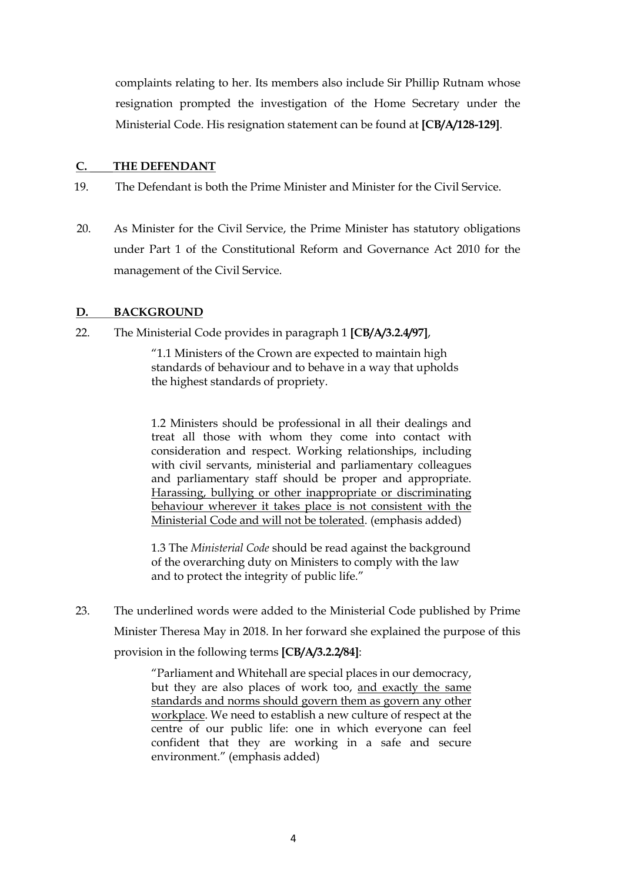complaints relating to her. Its members also include Sir Phillip Rutnam whose resignation prompted the investigation of the Home Secretary under the Ministerial Code. His resignation statement can be found at **[CB/A/128-129]**.

## **C. THE DEFENDANT**

- 19. The Defendant is both the Prime Minister and Minister for the Civil Service.
- 20. As Minister for the Civil Service, the Prime Minister has statutory obligations under Part 1 of the Constitutional Reform and Governance Act 2010 for the management of the Civil Service.

## **D. BACKGROUND**

22. The Ministerial Code provides in paragraph 1 **[CB/A/3.2.4/97]**,

"1.1 Ministers of the Crown are expected to maintain high standards of behaviour and to behave in a way that upholds the highest standards of propriety.

1.2 Ministers should be professional in all their dealings and treat all those with whom they come into contact with consideration and respect. Working relationships, including with civil servants, ministerial and parliamentary colleagues and parliamentary staff should be proper and appropriate. Harassing, bullying or other inappropriate or discriminating behaviour wherever it takes place is not consistent with the Ministerial Code and will not be tolerated. (emphasis added)

1.3 The *Ministerial Code* should be read against the background of the overarching duty on Ministers to comply with the law and to protect the integrity of public life."

23. The underlined words were added to the Ministerial Code published by Prime Minister Theresa May in 2018. In her forward she explained the purpose of this provision in the following terms **[CB/A/3.2.2/84]**:

> "Parliament and Whitehall are special places in our democracy, but they are also places of work too, and exactly the same standards and norms should govern them as govern any other workplace. We need to establish a new culture of respect at the centre of our public life: one in which everyone can feel confident that they are working in a safe and secure environment." (emphasis added)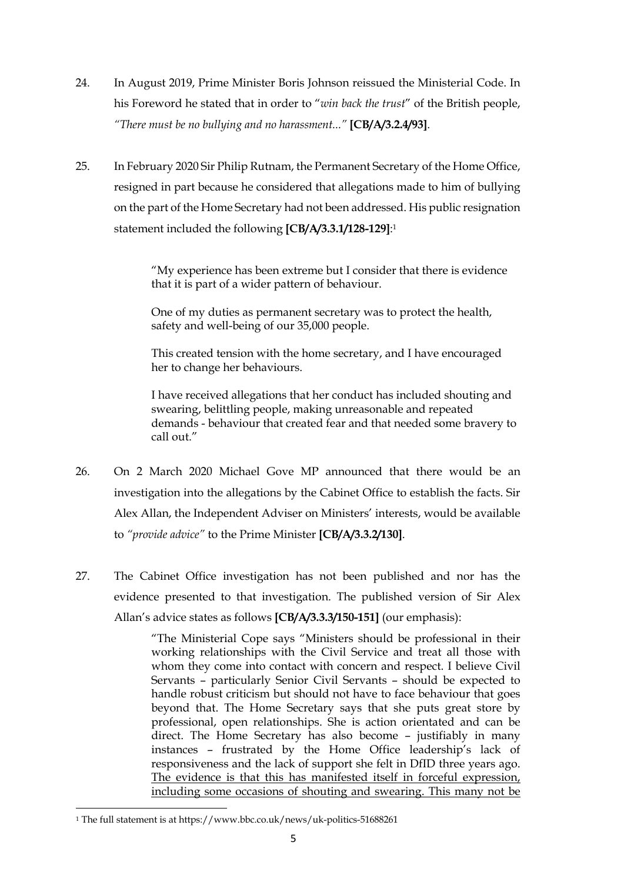- 24. In August 2019, Prime Minister Boris Johnson reissued the Ministerial Code. In his Foreword he stated that in order to "*win back the trust*" of the British people, *"There must be no bullying and no harassment..."* **[CB/A/3.2.4/93]**.
- 25. In February 2020 Sir Philip Rutnam, the Permanent Secretary of the Home Office, resigned in part because he considered that allegations made to him of bullying on the part of the Home Secretary had not been addressed. His public resignation statement included the following **[CB/A/3.3.1/128-129]**:1

"My experience has been extreme but I consider that there is evidence that it is part of a wider pattern of behaviour.

One of my duties as permanent secretary was to protect the health, safety and well-being of our 35,000 people.

This created tension with the home secretary, and I have encouraged her to change her behaviours.

I have received allegations that her conduct has included shouting and swearing, belittling people, making unreasonable and repeated demands - behaviour that created fear and that needed some bravery to call out."

- 26. On 2 March 2020 Michael Gove MP announced that there would be an investigation into the allegations by the Cabinet Office to establish the facts. Sir Alex Allan, the Independent Adviser on Ministers' interests, would be available to *"provide advice"* to the Prime Minister **[CB/A/3.3.2/130]**.
- 27. The Cabinet Office investigation has not been published and nor has the evidence presented to that investigation. The published version of Sir Alex Allan's advice states as follows **[CB/A/3.3.3/150-151]** (our emphasis):

"The Ministerial Cope says "Ministers should be professional in their working relationships with the Civil Service and treat all those with whom they come into contact with concern and respect. I believe Civil Servants – particularly Senior Civil Servants – should be expected to handle robust criticism but should not have to face behaviour that goes beyond that. The Home Secretary says that she puts great store by professional, open relationships. She is action orientated and can be direct. The Home Secretary has also become – justifiably in many instances – frustrated by the Home Office leadership's lack of responsiveness and the lack of support she felt in DfID three years ago. The evidence is that this has manifested itself in forceful expression, including some occasions of shouting and swearing. This many not be

<sup>1</sup> The full statement is at https://www.bbc.co.uk/news/uk-politics-51688261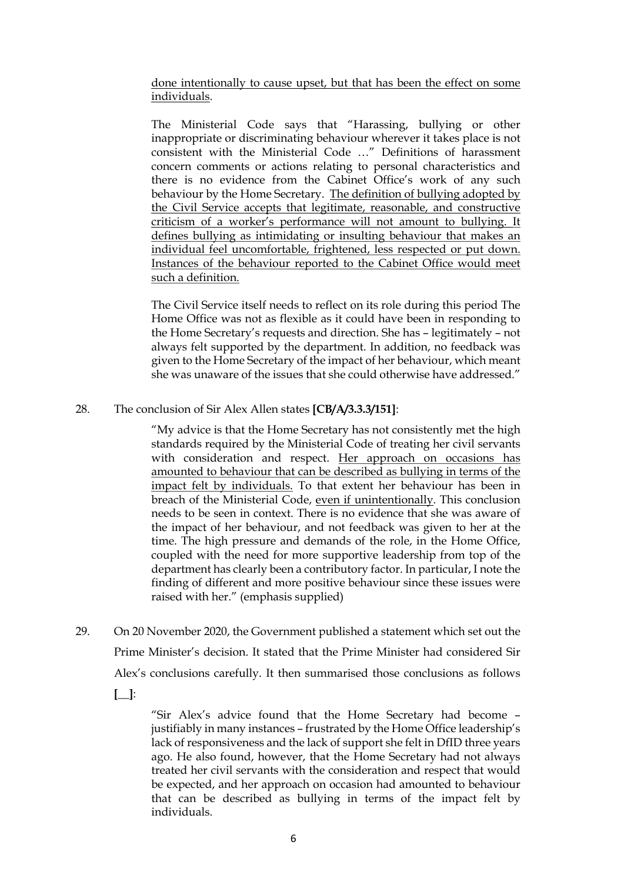done intentionally to cause upset, but that has been the effect on some individuals.

The Ministerial Code says that "Harassing, bullying or other inappropriate or discriminating behaviour wherever it takes place is not consistent with the Ministerial Code …" Definitions of harassment concern comments or actions relating to personal characteristics and there is no evidence from the Cabinet Office's work of any such behaviour by the Home Secretary. The definition of bullying adopted by the Civil Service accepts that legitimate, reasonable, and constructive criticism of a worker's performance will not amount to bullying. It defines bullying as intimidating or insulting behaviour that makes an individual feel uncomfortable, frightened, less respected or put down. Instances of the behaviour reported to the Cabinet Office would meet such a definition.

The Civil Service itself needs to reflect on its role during this period The Home Office was not as flexible as it could have been in responding to the Home Secretary's requests and direction. She has – legitimately – not always felt supported by the department. In addition, no feedback was given to the Home Secretary of the impact of her behaviour, which meant she was unaware of the issues that she could otherwise have addressed."

## 28. The conclusion of Sir Alex Allen states **[CB/A/3.3.3/151]**:

"My advice is that the Home Secretary has not consistently met the high standards required by the Ministerial Code of treating her civil servants with consideration and respect. Her approach on occasions has amounted to behaviour that can be described as bullying in terms of the impact felt by individuals. To that extent her behaviour has been in breach of the Ministerial Code, even if unintentionally. This conclusion needs to be seen in context. There is no evidence that she was aware of the impact of her behaviour, and not feedback was given to her at the time. The high pressure and demands of the role, in the Home Office, coupled with the need for more supportive leadership from top of the department has clearly been a contributory factor. In particular, I note the finding of different and more positive behaviour since these issues were raised with her." (emphasis supplied)

29. On 20 November 2020, the Government published a statement which set out the Prime Minister's decision. It stated that the Prime Minister had considered Sir Alex's conclusions carefully. It then summarised those conclusions as follows

**[\_\_]**:

"Sir Alex's advice found that the Home Secretary had become – justifiably in many instances – frustrated by the Home Office leadership's lack of responsiveness and the lack of support she felt in DfID three years ago. He also found, however, that the Home Secretary had not always treated her civil servants with the consideration and respect that would be expected, and her approach on occasion had amounted to behaviour that can be described as bullying in terms of the impact felt by individuals.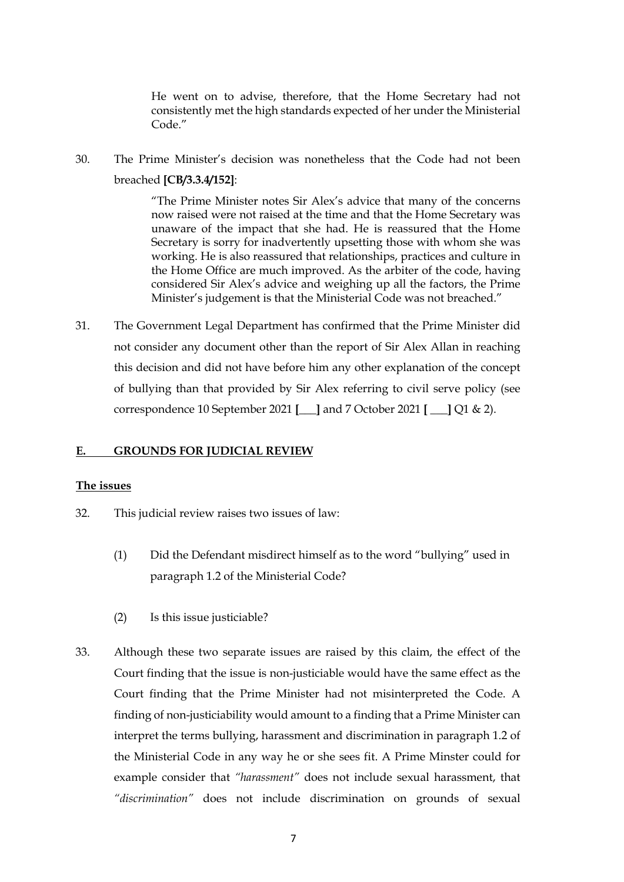He went on to advise, therefore, that the Home Secretary had not consistently met the high standards expected of her under the Ministerial Code"

30. The Prime Minister's decision was nonetheless that the Code had not been breached **[CB/3.3.4/152]**:

> "The Prime Minister notes Sir Alex's advice that many of the concerns now raised were not raised at the time and that the Home Secretary was unaware of the impact that she had. He is reassured that the Home Secretary is sorry for inadvertently upsetting those with whom she was working. He is also reassured that relationships, practices and culture in the Home Office are much improved. As the arbiter of the code, having considered Sir Alex's advice and weighing up all the factors, the Prime Minister's judgement is that the Ministerial Code was not breached."

31. The Government Legal Department has confirmed that the Prime Minister did not consider any document other than the report of Sir Alex Allan in reaching this decision and did not have before him any other explanation of the concept of bullying than that provided by Sir Alex referring to civil serve policy (see correspondence 10 September 2021 **[\_\_\_]** and 7 October 2021 **[ \_\_\_]** Q1 & 2).

## **E. GROUNDS FOR JUDICIAL REVIEW**

## **The issues**

- 32. This judicial review raises two issues of law:
	- (1) Did the Defendant misdirect himself as to the word "bullying" used in paragraph 1.2 of the Ministerial Code?
	- (2) Is this issue justiciable?
- 33. Although these two separate issues are raised by this claim, the effect of the Court finding that the issue is non-justiciable would have the same effect as the Court finding that the Prime Minister had not misinterpreted the Code. A finding of non-justiciability would amount to a finding that a Prime Minister can interpret the terms bullying, harassment and discrimination in paragraph 1.2 of the Ministerial Code in any way he or she sees fit. A Prime Minster could for example consider that *"harassment"* does not include sexual harassment, that *"discrimination"* does not include discrimination on grounds of sexual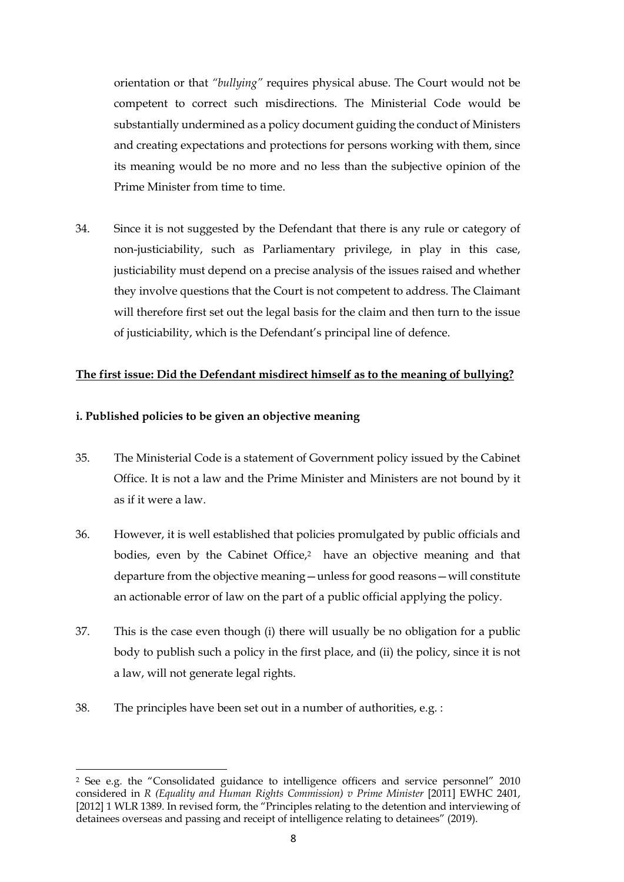orientation or that *"bullying"* requires physical abuse. The Court would not be competent to correct such misdirections. The Ministerial Code would be substantially undermined as a policy document guiding the conduct of Ministers and creating expectations and protections for persons working with them, since its meaning would be no more and no less than the subjective opinion of the Prime Minister from time to time.

34. Since it is not suggested by the Defendant that there is any rule or category of non-justiciability, such as Parliamentary privilege, in play in this case, justiciability must depend on a precise analysis of the issues raised and whether they involve questions that the Court is not competent to address. The Claimant will therefore first set out the legal basis for the claim and then turn to the issue of justiciability, which is the Defendant's principal line of defence.

## **The first issue: Did the Defendant misdirect himself as to the meaning of bullying?**

## **i. Published policies to be given an objective meaning**

- 35. The Ministerial Code is a statement of Government policy issued by the Cabinet Office. It is not a law and the Prime Minister and Ministers are not bound by it as if it were a law.
- 36. However, it is well established that policies promulgated by public officials and bodies, even by the Cabinet Office,<sup>2</sup> have an objective meaning and that departure from the objective meaning—unless for good reasons—will constitute an actionable error of law on the part of a public official applying the policy.
- 37. This is the case even though (i) there will usually be no obligation for a public body to publish such a policy in the first place, and (ii) the policy, since it is not a law, will not generate legal rights.
- 38. The principles have been set out in a number of authorities, e.g. :

<sup>2</sup> See e.g. the "Consolidated guidance to intelligence officers and service personnel" 2010 considered in *R* (Equality and Human Rights Commission) v Prime Minister [2011] EWHC 2401, [2012] 1 WLR 1389. In revised form, the "Principles relating to the detention and interviewing of detainees overseas and passing and receipt of intelligence relating to detainees" (2019).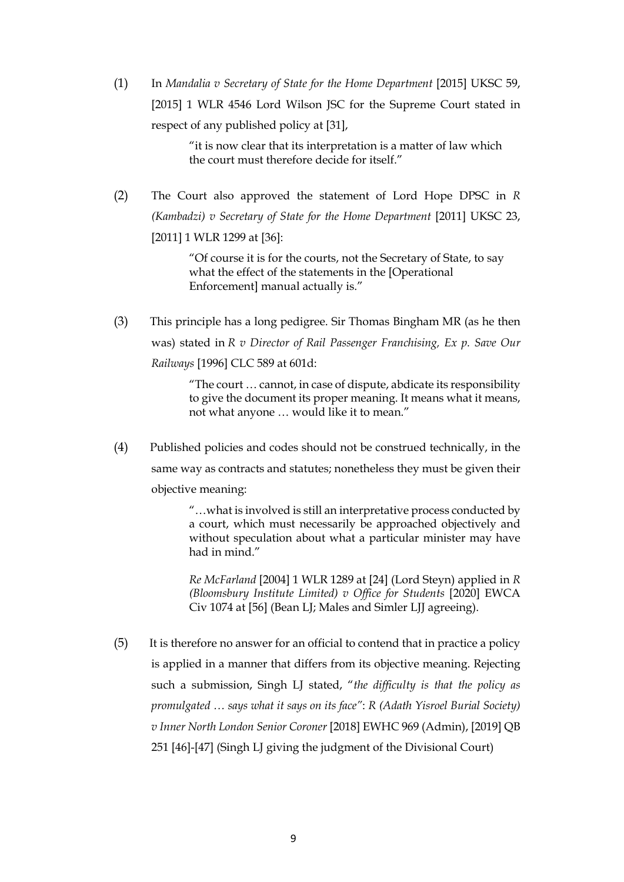(1) In *Mandalia v Secretary of State for the Home Department* [2015] UKSC 59, [2015] 1 WLR 4546 Lord Wilson JSC for the Supreme Court stated in respect of any published policy at [31],

> "it is now clear that its interpretation is a matter of law which the court must therefore decide for itself."

(2) The Court also approved the statement of Lord Hope DPSC in *R (Kambadzi) v Secretary of State for the Home Department* [2011] UKSC 23, [2011] 1 WLR 1299 at [36]:

> "Of course it is for the courts, not the Secretary of State, to say what the effect of the statements in the [Operational Enforcement] manual actually is."

(3) This principle has a long pedigree. Sir Thomas Bingham MR (as he then was) stated in *R v Director of Rail Passenger Franchising, Ex p. Save Our Railways* [1996] CLC 589 at 601d:

> "The court … cannot, in case of dispute, abdicate its responsibility to give the document its proper meaning. It means what it means, not what anyone … would like it to mean."

(4) Published policies and codes should not be construed technically, in the same way as contracts and statutes; nonetheless they must be given their objective meaning:

> "…what is involved is still an interpretative process conducted by a court, which must necessarily be approached objectively and without speculation about what a particular minister may have had in mind."

> *Re McFarland* [2004] 1 WLR 1289 at [24] (Lord Steyn) applied in *R (Bloomsbury Institute Limited) v Office for Students* [2020] EWCA Civ 1074 at [56] (Bean LJ; Males and Simler LJJ agreeing).

(5) It is therefore no answer for an official to contend that in practice a policy is applied in a manner that differs from its objective meaning. Rejecting such a submission, Singh LJ stated, "*the difficulty is that the policy as promulgated … says what it says on its face"*: *R (Adath Yisroel Burial Society) v Inner North London Senior Coroner* [2018] EWHC 969 (Admin), [2019] QB 251 [46]-[47] (Singh LJ giving the judgment of the Divisional Court)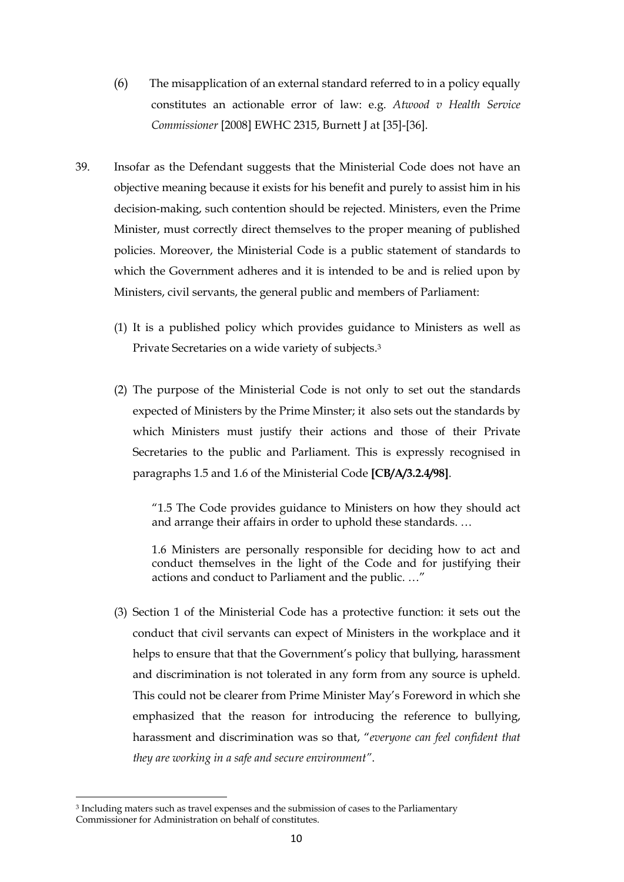- (6) The misapplication of an external standard referred to in a policy equally constitutes an actionable error of law: e.g. *Atwood v Health Service Commissioner* [2008] EWHC 2315, Burnett J at [35]-[36].
- 39. Insofar as the Defendant suggests that the Ministerial Code does not have an objective meaning because it exists for his benefit and purely to assist him in his decision-making, such contention should be rejected. Ministers, even the Prime Minister, must correctly direct themselves to the proper meaning of published policies. Moreover, the Ministerial Code is a public statement of standards to which the Government adheres and it is intended to be and is relied upon by Ministers, civil servants, the general public and members of Parliament:
	- (1) It is a published policy which provides guidance to Ministers as well as Private Secretaries on a wide variety of subjects.3
	- (2) The purpose of the Ministerial Code is not only to set out the standards expected of Ministers by the Prime Minster; it also sets out the standards by which Ministers must justify their actions and those of their Private Secretaries to the public and Parliament. This is expressly recognised in paragraphs 1.5 and 1.6 of the Ministerial Code **[CB/A/3.2.4/98]**.

"1.5 The Code provides guidance to Ministers on how they should act and arrange their affairs in order to uphold these standards. …

1.6 Ministers are personally responsible for deciding how to act and conduct themselves in the light of the Code and for justifying their actions and conduct to Parliament and the public. …"

(3) Section 1 of the Ministerial Code has a protective function: it sets out the conduct that civil servants can expect of Ministers in the workplace and it helps to ensure that that the Government's policy that bullying, harassment and discrimination is not tolerated in any form from any source is upheld. This could not be clearer from Prime Minister May's Foreword in which she emphasized that the reason for introducing the reference to bullying, harassment and discrimination was so that, "*everyone can feel confident that they are working in a safe and secure environment"*.

<sup>3</sup> Including maters such as travel expenses and the submission of cases to the Parliamentary Commissioner for Administration on behalf of constitutes.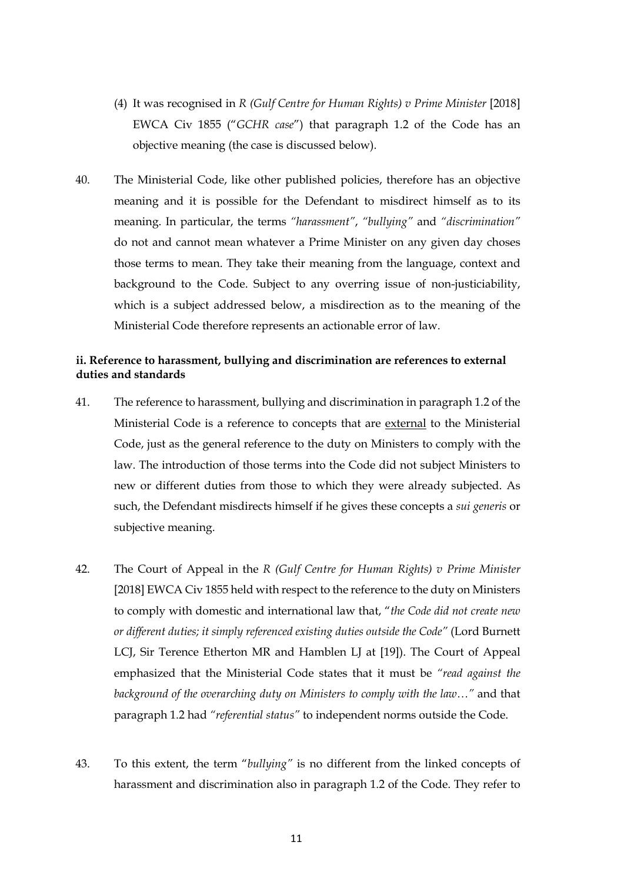- (4) It was recognised in *R (Gulf Centre for Human Rights) v Prime Minister* [2018] EWCA Civ 1855 ("*GCHR case*") that paragraph 1.2 of the Code has an objective meaning (the case is discussed below).
- 40. The Ministerial Code, like other published policies, therefore has an objective meaning and it is possible for the Defendant to misdirect himself as to its meaning. In particular, the terms *"harassment"*, *"bullying"* and *"discrimination"* do not and cannot mean whatever a Prime Minister on any given day choses those terms to mean. They take their meaning from the language, context and background to the Code. Subject to any overring issue of non-justiciability, which is a subject addressed below, a misdirection as to the meaning of the Ministerial Code therefore represents an actionable error of law.

## **ii. Reference to harassment, bullying and discrimination are references to external duties and standards**

- 41. The reference to harassment, bullying and discrimination in paragraph 1.2 of the Ministerial Code is a reference to concepts that are external to the Ministerial Code, just as the general reference to the duty on Ministers to comply with the law. The introduction of those terms into the Code did not subject Ministers to new or different duties from those to which they were already subjected. As such, the Defendant misdirects himself if he gives these concepts a *sui generis* or subjective meaning.
- 42. The Court of Appeal in the *R (Gulf Centre for Human Rights) v Prime Minister* [2018] EWCA Civ 1855 held with respect to the reference to the duty on Ministers to comply with domestic and international law that, "*the Code did not create new or different duties; it simply referenced existing duties outside the Code"* (Lord Burnett LCJ, Sir Terence Etherton MR and Hamblen LJ at [19]). The Court of Appeal emphasized that the Ministerial Code states that it must be *"read against the background of the overarching duty on Ministers to comply with the law…"* and that paragraph 1.2 had *"referential status"* to independent norms outside the Code.
- 43. To this extent, the term "*bullying"* is no different from the linked concepts of harassment and discrimination also in paragraph 1.2 of the Code. They refer to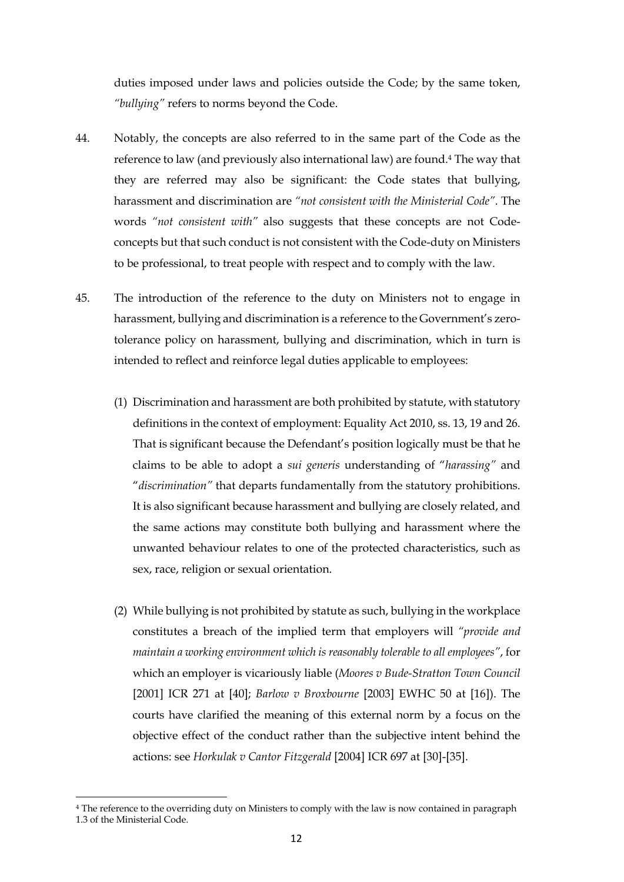duties imposed under laws and policies outside the Code; by the same token, *"bullying"* refers to norms beyond the Code.

- 44. Notably, the concepts are also referred to in the same part of the Code as the reference to law (and previously also international law) are found.4 The way that they are referred may also be significant: the Code states that bullying, harassment and discrimination are *"not consistent with the Ministerial Code"*. The words *"not consistent with"* also suggests that these concepts are not Codeconcepts but that such conduct is not consistent with the Code-duty on Ministers to be professional, to treat people with respect and to comply with the law.
- 45. The introduction of the reference to the duty on Ministers not to engage in harassment, bullying and discrimination is a reference to the Government's zerotolerance policy on harassment, bullying and discrimination, which in turn is intended to reflect and reinforce legal duties applicable to employees:
	- (1) Discrimination and harassment are both prohibited by statute, with statutory definitions in the context of employment: Equality Act 2010, ss. 13, 19 and 26. That is significant because the Defendant's position logically must be that he claims to be able to adopt a *sui generis* understanding of "*harassing"* and "*discrimination"* that departs fundamentally from the statutory prohibitions. It is also significant because harassment and bullying are closely related, and the same actions may constitute both bullying and harassment where the unwanted behaviour relates to one of the protected characteristics, such as sex, race, religion or sexual orientation.
	- (2) While bullying is not prohibited by statute as such, bullying in the workplace constitutes a breach of the implied term that employers will *"provide and maintain a working environment which is reasonably tolerable to all employees"*, for which an employer is vicariously liable (*Moores v Bude-Stratton Town Council* [2001] ICR 271 at [40]; *Barlow v Broxbourne* [2003] EWHC 50 at [16]). The courts have clarified the meaning of this external norm by a focus on the objective effect of the conduct rather than the subjective intent behind the actions: see *Horkulak v Cantor Fitzgerald* [2004] ICR 697 at [30]-[35].

<sup>4</sup> The reference to the overriding duty on Ministers to comply with the law is now contained in paragraph 1.3 of the Ministerial Code.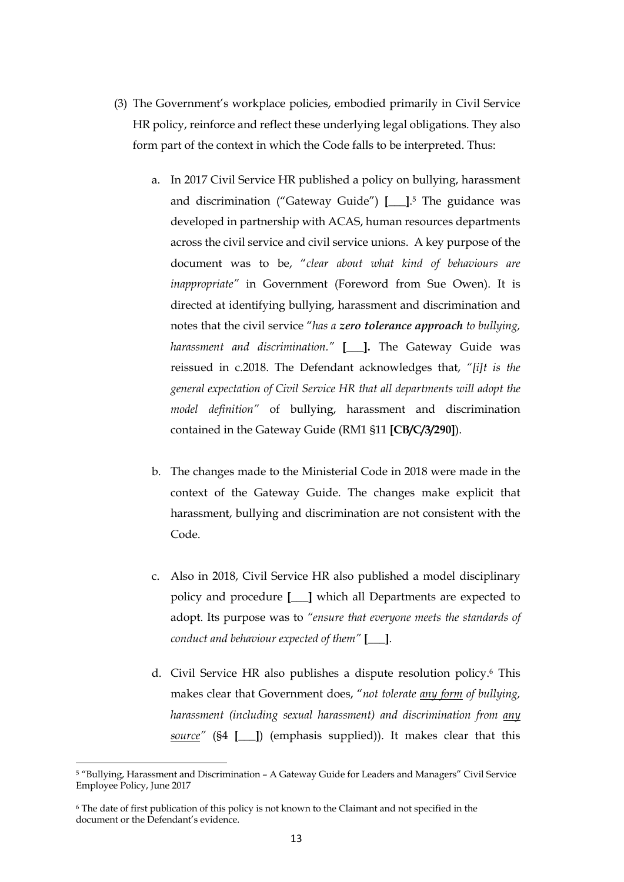- (3) The Government's workplace policies, embodied primarily in Civil Service HR policy, reinforce and reflect these underlying legal obligations. They also form part of the context in which the Code falls to be interpreted. Thus:
	- a. In 2017 Civil Service HR published a policy on bullying, harassment and discrimination ("Gateway Guide") **[\_\_\_]**.5 The guidance was developed in partnership with ACAS, human resources departments across the civil service and civil service unions. A key purpose of the document was to be, "*clear about what kind of behaviours are inappropriate"* in Government (Foreword from Sue Owen). It is directed at identifying bullying, harassment and discrimination and notes that the civil service "*has a zero tolerance approach to bullying, harassment and discrimination."* **[\_\_\_].** The Gateway Guide was reissued in c.2018. The Defendant acknowledges that, *"[i]t is the general expectation of Civil Service HR that all departments will adopt the model definition"* of bullying, harassment and discrimination contained in the Gateway Guide (RM1 §11 **[CB/C/3/290]**).
	- b. The changes made to the Ministerial Code in 2018 were made in the context of the Gateway Guide. The changes make explicit that harassment, bullying and discrimination are not consistent with the Code.
	- c. Also in 2018, Civil Service HR also published a model disciplinary policy and procedure **[\_\_\_]** which all Departments are expected to adopt. Its purpose was to *"ensure that everyone meets the standards of conduct and behaviour expected of them"* **[\_\_\_]**.
	- d. Civil Service HR also publishes a dispute resolution policy.6 This makes clear that Government does, "*not tolerate any form of bullying, harassment (including sexual harassment) and discrimination from any source"* (§4 **[\_\_\_]**) (emphasis supplied)). It makes clear that this

<sup>5</sup> "Bullying, Harassment and Discrimination – A Gateway Guide for Leaders and Managers" Civil Service Employee Policy, June 2017

<sup>6</sup> The date of first publication of this policy is not known to the Claimant and not specified in the document or the Defendant's evidence.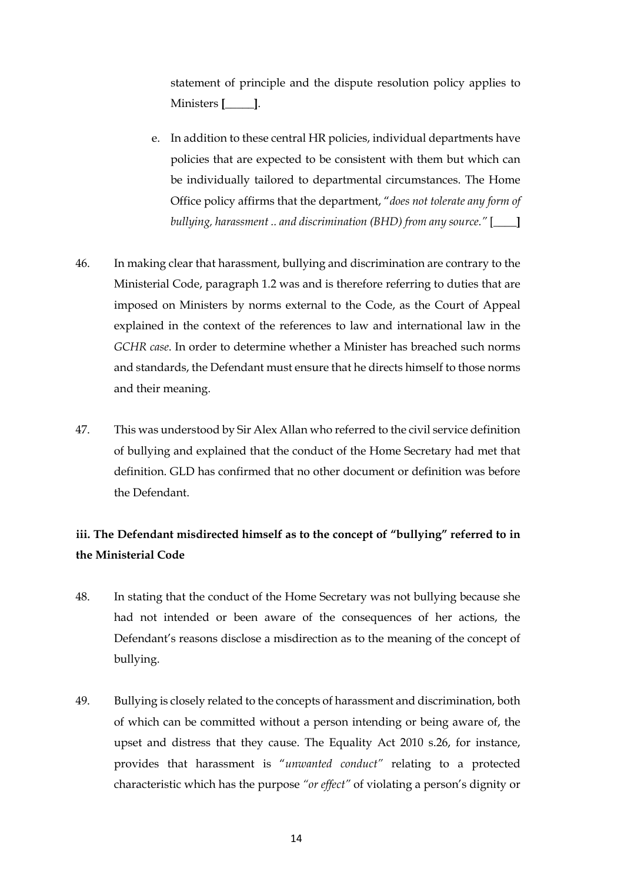statement of principle and the dispute resolution policy applies to Ministers **[\_\_\_\_\_]**.

- e. In addition to these central HR policies, individual departments have policies that are expected to be consistent with them but which can be individually tailored to departmental circumstances. The Home Office policy affirms that the department, "*does not tolerate any form of bullying, harassment .. and discrimination (BHD) from any source."* [**\_\_\_\_]**
- 46. In making clear that harassment, bullying and discrimination are contrary to the Ministerial Code, paragraph 1.2 was and is therefore referring to duties that are imposed on Ministers by norms external to the Code, as the Court of Appeal explained in the context of the references to law and international law in the *GCHR case*. In order to determine whether a Minister has breached such norms and standards, the Defendant must ensure that he directs himself to those norms and their meaning.
- 47. This was understood by Sir Alex Allan who referred to the civil service definition of bullying and explained that the conduct of the Home Secretary had met that definition. GLD has confirmed that no other document or definition was before the Defendant.

# **iii. The Defendant misdirected himself as to the concept of "bullying" referred to in the Ministerial Code**

- 48. In stating that the conduct of the Home Secretary was not bullying because she had not intended or been aware of the consequences of her actions, the Defendant's reasons disclose a misdirection as to the meaning of the concept of bullying.
- 49. Bullying is closely related to the concepts of harassment and discrimination, both of which can be committed without a person intending or being aware of, the upset and distress that they cause. The Equality Act 2010 s.26, for instance, provides that harassment is "*unwanted conduct"* relating to a protected characteristic which has the purpose *"or effect"* of violating a person's dignity or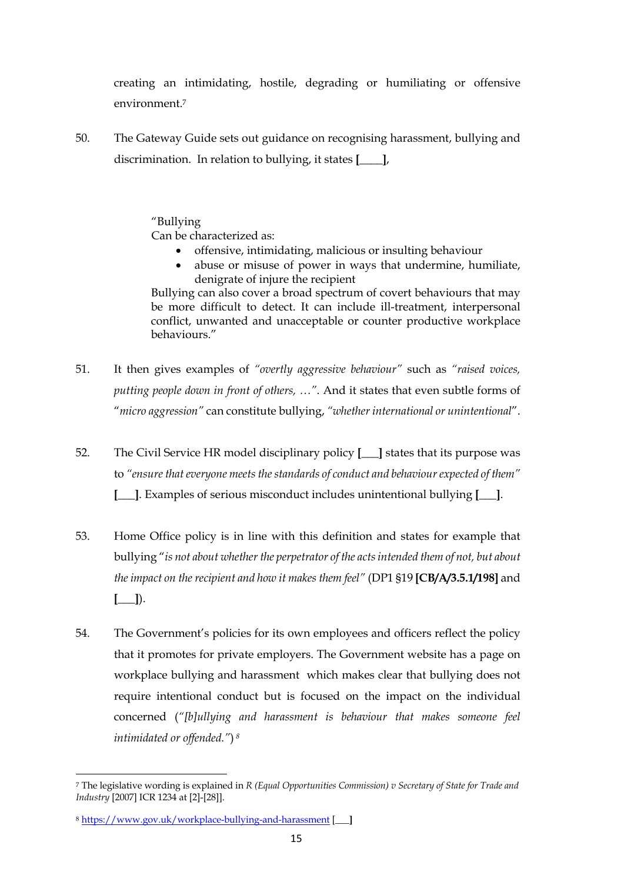creating an intimidating, hostile, degrading or humiliating or offensive environment.7

50. The Gateway Guide sets out guidance on recognising harassment, bullying and discrimination. In relation to bullying, it states **[\_\_\_\_]**,

> "Bullying Can be characterized as:

- offensive, intimidating, malicious or insulting behaviour
- abuse or misuse of power in ways that undermine, humiliate, denigrate of injure the recipient

Bullying can also cover a broad spectrum of covert behaviours that may be more difficult to detect. It can include ill-treatment, interpersonal conflict, unwanted and unacceptable or counter productive workplace behaviours."

- 51. It then gives examples of *"overtly aggressive behaviour"* such as *"raised voices, putting people down in front of others, …"*. And it states that even subtle forms of "*micro aggression"* can constitute bullying, *"whether international or unintentional*".
- 52. The Civil Service HR model disciplinary policy **[\_\_\_]** states that its purpose was to *"ensure that everyone meets the standards of conduct and behaviour expected of them"* **[\_\_\_]**. Examples of serious misconduct includes unintentional bullying **[\_\_\_]**.
- 53. Home Office policy is in line with this definition and states for example that bullying "*is not about whether the perpetrator of the acts intended them of not, but about the impact on the recipient and how it makes them feel"* (DP1 §19 **[CB/A/3.5.1/198]** and **[\_\_\_]**).
- 54. The Government's policies for its own employees and officers reflect the policy that it promotes for private employers. The Government website has a page on workplace bullying and harassment which makes clear that bullying does not require intentional conduct but is focused on the impact on the individual concerned (*"[b]ullying and harassment is behaviour that makes someone feel intimidated or offended."*) *<sup>8</sup>*

<sup>7</sup> The legislative wording is explained in *R (Equal Opportunities Commission) v Secretary of State for Trade and Industry* [2007] ICR 1234 at [2]-[28]].

<sup>8</sup> https://www.gov.uk/workplace-bullying-and-harassment [**\_\_\_]**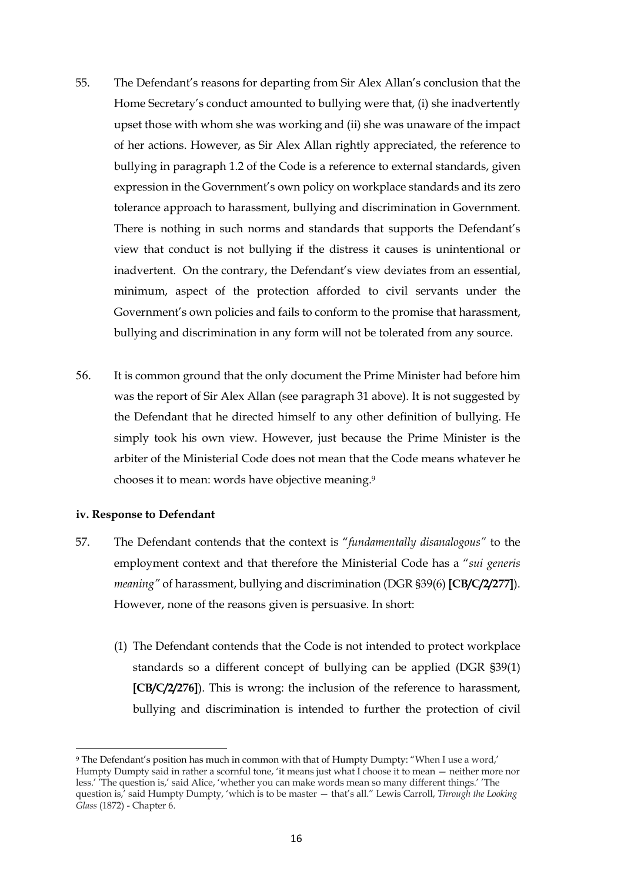- 55. The Defendant's reasons for departing from Sir Alex Allan's conclusion that the Home Secretary's conduct amounted to bullying were that, (i) she inadvertently upset those with whom she was working and (ii) she was unaware of the impact of her actions. However, as Sir Alex Allan rightly appreciated, the reference to bullying in paragraph 1.2 of the Code is a reference to external standards, given expression in the Government's own policy on workplace standards and its zero tolerance approach to harassment, bullying and discrimination in Government. There is nothing in such norms and standards that supports the Defendant's view that conduct is not bullying if the distress it causes is unintentional or inadvertent. On the contrary, the Defendant's view deviates from an essential, minimum, aspect of the protection afforded to civil servants under the Government's own policies and fails to conform to the promise that harassment, bullying and discrimination in any form will not be tolerated from any source.
- 56. It is common ground that the only document the Prime Minister had before him was the report of Sir Alex Allan (see paragraph 31 above). It is not suggested by the Defendant that he directed himself to any other definition of bullying. He simply took his own view. However, just because the Prime Minister is the arbiter of the Ministerial Code does not mean that the Code means whatever he chooses it to mean: words have objective meaning.9

## **iv. Response to Defendant**

- 57. The Defendant contends that the context is "*fundamentally disanalogous"* to the employment context and that therefore the Ministerial Code has a "*sui generis meaning"* of harassment, bullying and discrimination (DGR §39(6) **[CB/C/2/277]**). However, none of the reasons given is persuasive. In short:
	- (1) The Defendant contends that the Code is not intended to protect workplace standards so a different concept of bullying can be applied (DGR §39(1) **[CB/C/2/276]**). This is wrong: the inclusion of the reference to harassment, bullying and discrimination is intended to further the protection of civil

<sup>9</sup> The Defendant's position has much in common with that of Humpty Dumpty: "When I use a word,' Humpty Dumpty said in rather a scornful tone, 'it means just what I choose it to mean — neither more nor less.' 'The question is,' said Alice, 'whether you can make words mean so many different things.' 'The question is,' said Humpty Dumpty, 'which is to be master — that's all." Lewis Carroll, *Through the Looking Glass* (1872) - Chapter 6.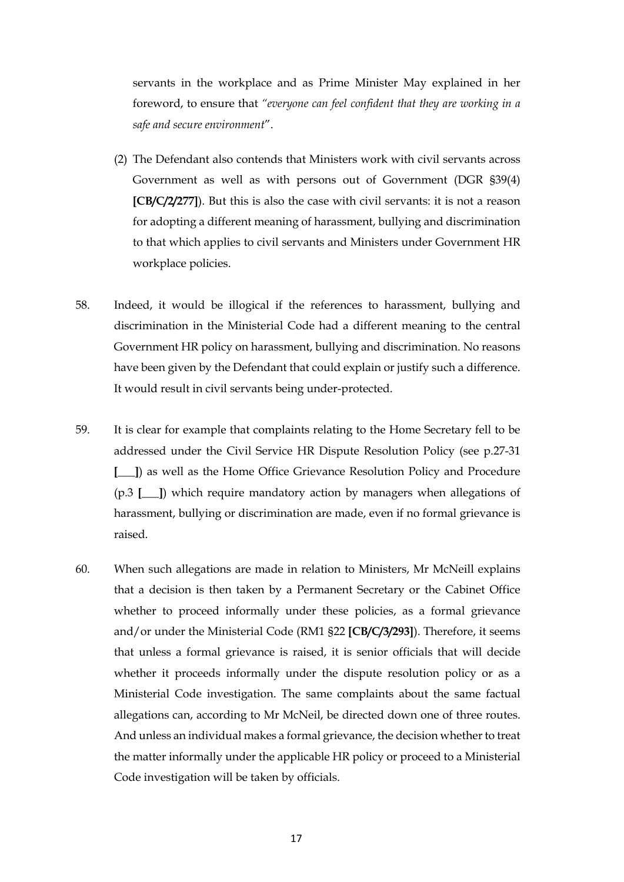servants in the workplace and as Prime Minister May explained in her foreword, to ensure that *"everyone can feel confident that they are working in a safe and secure environment*".

- (2) The Defendant also contends that Ministers work with civil servants across Government as well as with persons out of Government (DGR §39(4) **[CB/C/2/277]**). But this is also the case with civil servants: it is not a reason for adopting a different meaning of harassment, bullying and discrimination to that which applies to civil servants and Ministers under Government HR workplace policies.
- 58. Indeed, it would be illogical if the references to harassment, bullying and discrimination in the Ministerial Code had a different meaning to the central Government HR policy on harassment, bullying and discrimination. No reasons have been given by the Defendant that could explain or justify such a difference. It would result in civil servants being under-protected.
- 59. It is clear for example that complaints relating to the Home Secretary fell to be addressed under the Civil Service HR Dispute Resolution Policy (see p.27-31 **[\_\_\_]**) as well as the Home Office Grievance Resolution Policy and Procedure (p.3 **[\_\_\_]**) which require mandatory action by managers when allegations of harassment, bullying or discrimination are made, even if no formal grievance is raised.
- 60. When such allegations are made in relation to Ministers, Mr McNeill explains that a decision is then taken by a Permanent Secretary or the Cabinet Office whether to proceed informally under these policies, as a formal grievance and/or under the Ministerial Code (RM1 §22 **[CB/C/3/293]**). Therefore, it seems that unless a formal grievance is raised, it is senior officials that will decide whether it proceeds informally under the dispute resolution policy or as a Ministerial Code investigation. The same complaints about the same factual allegations can, according to Mr McNeil, be directed down one of three routes. And unless an individual makes a formal grievance, the decision whether to treat the matter informally under the applicable HR policy or proceed to a Ministerial Code investigation will be taken by officials.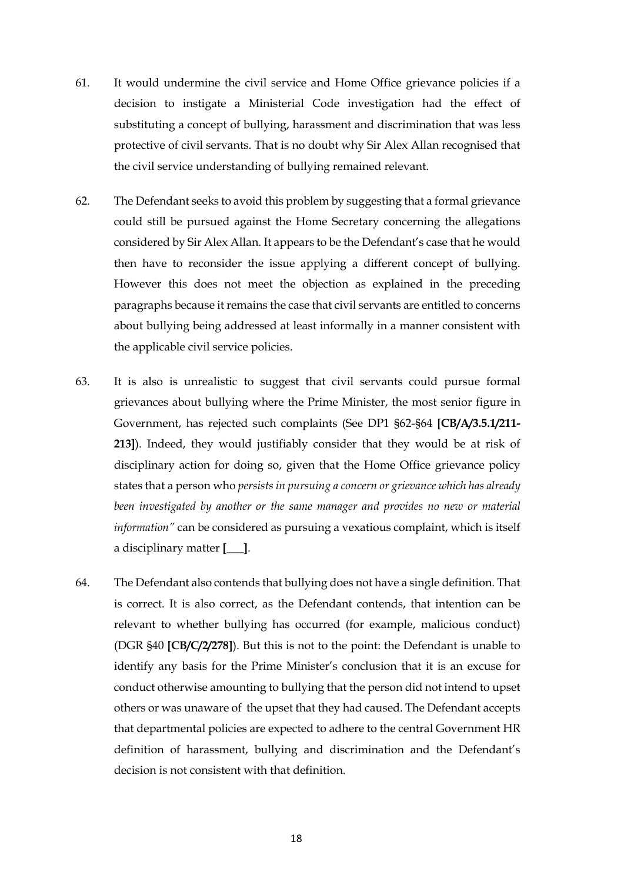- 61. It would undermine the civil service and Home Office grievance policies if a decision to instigate a Ministerial Code investigation had the effect of substituting a concept of bullying, harassment and discrimination that was less protective of civil servants. That is no doubt why Sir Alex Allan recognised that the civil service understanding of bullying remained relevant.
- 62. The Defendant seeks to avoid this problem by suggesting that a formal grievance could still be pursued against the Home Secretary concerning the allegations considered by Sir Alex Allan. It appears to be the Defendant's case that he would then have to reconsider the issue applying a different concept of bullying. However this does not meet the objection as explained in the preceding paragraphs because it remains the case that civil servants are entitled to concerns about bullying being addressed at least informally in a manner consistent with the applicable civil service policies.
- 63. It is also is unrealistic to suggest that civil servants could pursue formal grievances about bullying where the Prime Minister, the most senior figure in Government, has rejected such complaints (See DP1 §62-§64 **[CB/A/3.5.1/211- 213]**). Indeed, they would justifiably consider that they would be at risk of disciplinary action for doing so, given that the Home Office grievance policy states that a person who *persists in pursuing a concern or grievance which has already been investigated by another or the same manager and provides no new or material information"* can be considered as pursuing a vexatious complaint, which is itself a disciplinary matter **[\_\_\_]**.
- 64. The Defendant also contends that bullying does not have a single definition. That is correct. It is also correct, as the Defendant contends, that intention can be relevant to whether bullying has occurred (for example, malicious conduct) (DGR §40 **[CB/C/2/278]**). But this is not to the point: the Defendant is unable to identify any basis for the Prime Minister's conclusion that it is an excuse for conduct otherwise amounting to bullying that the person did not intend to upset others or was unaware of the upset that they had caused. The Defendant accepts that departmental policies are expected to adhere to the central Government HR definition of harassment, bullying and discrimination and the Defendant's decision is not consistent with that definition.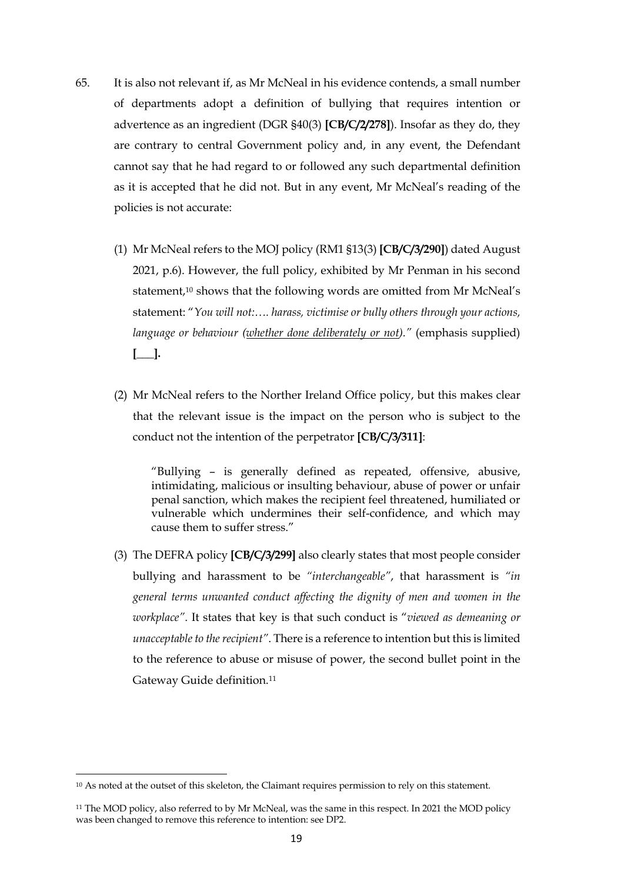- 65. It is also not relevant if, as Mr McNeal in his evidence contends, a small number of departments adopt a definition of bullying that requires intention or advertence as an ingredient (DGR §40(3) **[CB/C/2/278]**). Insofar as they do, they are contrary to central Government policy and, in any event, the Defendant cannot say that he had regard to or followed any such departmental definition as it is accepted that he did not. But in any event, Mr McNeal's reading of the policies is not accurate:
	- (1) Mr McNeal refers to the MOJ policy (RM1 §13(3) **[CB/C/3/290]**) dated August 2021, p.6). However, the full policy, exhibited by Mr Penman in his second statement,<sup>10</sup> shows that the following words are omitted from Mr McNeal's statement: "*You will not:…. harass, victimise or bully others through your actions, language or behaviour (whether done deliberately or not)."* (emphasis supplied) **[\_\_\_].**
	- (2) Mr McNeal refers to the Norther Ireland Office policy, but this makes clear that the relevant issue is the impact on the person who is subject to the conduct not the intention of the perpetrator **[CB/C/3/311]**:

"Bullying – is generally defined as repeated, offensive, abusive, intimidating, malicious or insulting behaviour, abuse of power or unfair penal sanction, which makes the recipient feel threatened, humiliated or vulnerable which undermines their self-confidence, and which may cause them to suffer stress."

(3) The DEFRA policy **[CB/C/3/299]** also clearly states that most people consider bullying and harassment to be *"interchangeable"*, that harassment is *"in general terms unwanted conduct affecting the dignity of men and women in the workplace"*. It states that key is that such conduct is "*viewed as demeaning or unacceptable to the recipient"*. There is a reference to intention but this is limited to the reference to abuse or misuse of power, the second bullet point in the Gateway Guide definition.11

<sup>10</sup> As noted at the outset of this skeleton, the Claimant requires permission to rely on this statement.

<sup>&</sup>lt;sup>11</sup> The MOD policy, also referred to by Mr McNeal, was the same in this respect. In 2021 the MOD policy was been changed to remove this reference to intention: see DP2.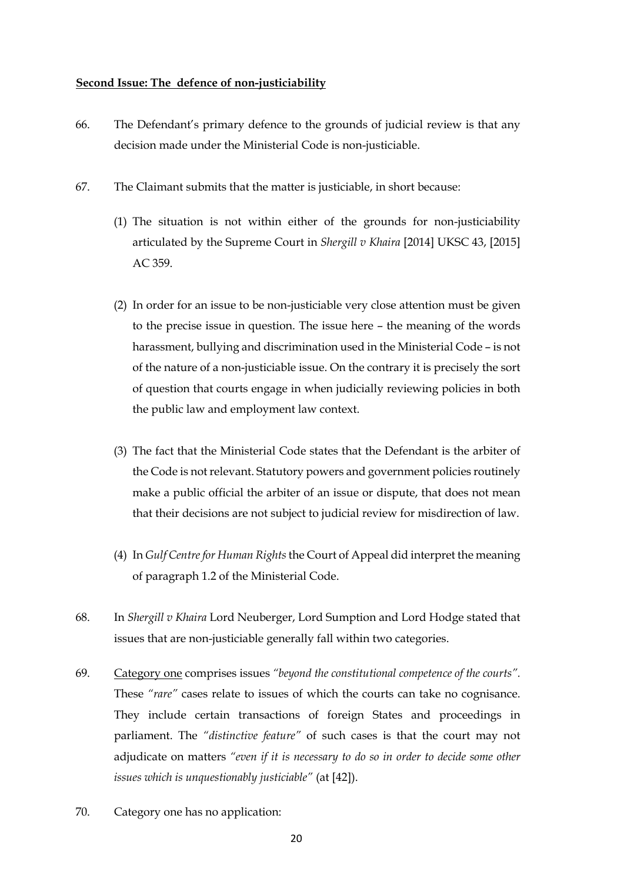#### **Second Issue: The defence of non-justiciability**

- 66. The Defendant's primary defence to the grounds of judicial review is that any decision made under the Ministerial Code is non-justiciable.
- 67. The Claimant submits that the matter is justiciable, in short because:
	- (1) The situation is not within either of the grounds for non-justiciability articulated by the Supreme Court in *Shergill v Khaira* [2014] UKSC 43, [2015] AC 359.
	- (2) In order for an issue to be non-justiciable very close attention must be given to the precise issue in question. The issue here – the meaning of the words harassment, bullying and discrimination used in the Ministerial Code – is not of the nature of a non-justiciable issue. On the contrary it is precisely the sort of question that courts engage in when judicially reviewing policies in both the public law and employment law context.
	- (3) The fact that the Ministerial Code states that the Defendant is the arbiter of the Code is not relevant. Statutory powers and government policies routinely make a public official the arbiter of an issue or dispute, that does not mean that their decisions are not subject to judicial review for misdirection of law.
	- (4) In *Gulf Centre for Human Rights* the Court of Appeal did interpret the meaning of paragraph 1.2 of the Ministerial Code.
- 68. In *Shergill v Khaira* Lord Neuberger, Lord Sumption and Lord Hodge stated that issues that are non-justiciable generally fall within two categories.
- 69. Category one comprises issues *"beyond the constitutional competence of the courts".* These *"rare"* cases relate to issues of which the courts can take no cognisance. They include certain transactions of foreign States and proceedings in parliament. The *"distinctive feature"* of such cases is that the court may not adjudicate on matters *"even if it is necessary to do so in order to decide some other issues which is unquestionably justiciable"* (at [42]).
- 70. Category one has no application: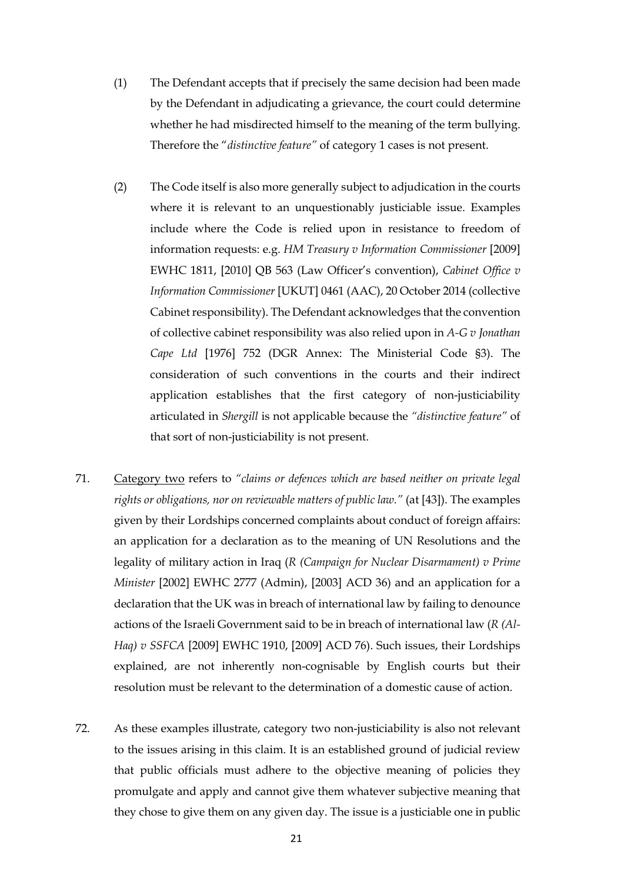- (1) The Defendant accepts that if precisely the same decision had been made by the Defendant in adjudicating a grievance, the court could determine whether he had misdirected himself to the meaning of the term bullying. Therefore the "*distinctive feature"* of category 1 cases is not present.
- (2) The Code itself is also more generally subject to adjudication in the courts where it is relevant to an unquestionably justiciable issue. Examples include where the Code is relied upon in resistance to freedom of information requests: e.g. *HM Treasury v Information Commissioner* [2009] EWHC 1811, [2010] QB 563 (Law Officer's convention), *Cabinet Office v Information Commissioner* [UKUT] 0461 (AAC), 20 October 2014 (collective Cabinet responsibility). The Defendant acknowledges that the convention of collective cabinet responsibility was also relied upon in *A-G v Jonathan Cape Ltd* [1976] 752 (DGR Annex: The Ministerial Code §3). The consideration of such conventions in the courts and their indirect application establishes that the first category of non-justiciability articulated in *Shergill* is not applicable because the *"distinctive feature"* of that sort of non-justiciability is not present.
- 71. Category two refers to *"claims or defences which are based neither on private legal rights or obligations, nor on reviewable matters of public law."* (at [43]). The examples given by their Lordships concerned complaints about conduct of foreign affairs: an application for a declaration as to the meaning of UN Resolutions and the legality of military action in Iraq (*R (Campaign for Nuclear Disarmament) v Prime Minister* [2002] EWHC 2777 (Admin), [2003] ACD 36) and an application for a declaration that the UK was in breach of international law by failing to denounce actions of the Israeli Government said to be in breach of international law (*R (Al-Haq) v SSFCA* [2009] EWHC 1910, [2009] ACD 76). Such issues, their Lordships explained, are not inherently non-cognisable by English courts but their resolution must be relevant to the determination of a domestic cause of action.
- 72. As these examples illustrate, category two non-justiciability is also not relevant to the issues arising in this claim. It is an established ground of judicial review that public officials must adhere to the objective meaning of policies they promulgate and apply and cannot give them whatever subjective meaning that they chose to give them on any given day. The issue is a justiciable one in public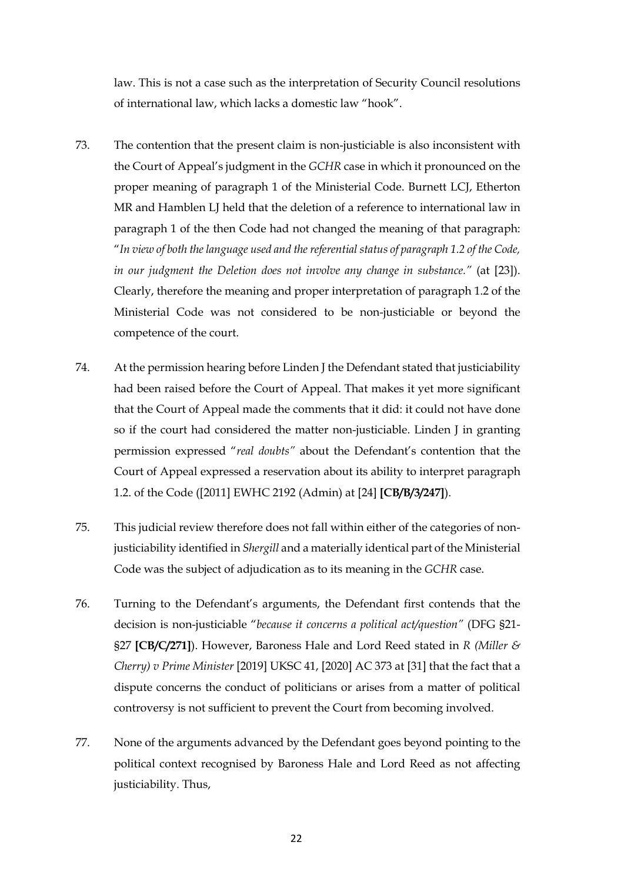law. This is not a case such as the interpretation of Security Council resolutions of international law, which lacks a domestic law "hook".

- 73. The contention that the present claim is non-justiciable is also inconsistent with the Court of Appeal's judgment in the *GCHR* case in which it pronounced on the proper meaning of paragraph 1 of the Ministerial Code. Burnett LCJ, Etherton MR and Hamblen LJ held that the deletion of a reference to international law in paragraph 1 of the then Code had not changed the meaning of that paragraph: "*In view of both the language used and the referential status of paragraph 1.2 of the Code, in our judgment the Deletion does not involve any change in substance."* (at [23]). Clearly, therefore the meaning and proper interpretation of paragraph 1.2 of the Ministerial Code was not considered to be non-justiciable or beyond the competence of the court.
- 74. At the permission hearing before Linden J the Defendant stated that justiciability had been raised before the Court of Appeal. That makes it yet more significant that the Court of Appeal made the comments that it did: it could not have done so if the court had considered the matter non-justiciable. Linden J in granting permission expressed "*real doubts"* about the Defendant's contention that the Court of Appeal expressed a reservation about its ability to interpret paragraph 1.2. of the Code ([2011] EWHC 2192 (Admin) at [24] **[CB/B/3/247]**).
- 75. This judicial review therefore does not fall within either of the categories of nonjusticiability identified in *Shergill* and a materially identical part of the Ministerial Code was the subject of adjudication as to its meaning in the *GCHR* case.
- 76. Turning to the Defendant's arguments, the Defendant first contends that the decision is non-justiciable "*because it concerns a political act/question"* (DFG §21- §27 **[CB/C/271]**). However, Baroness Hale and Lord Reed stated in *R (Miller & Cherry) v Prime Minister* [2019] UKSC 41, [2020] AC 373 at [31] that the fact that a dispute concerns the conduct of politicians or arises from a matter of political controversy is not sufficient to prevent the Court from becoming involved.
- 77. None of the arguments advanced by the Defendant goes beyond pointing to the political context recognised by Baroness Hale and Lord Reed as not affecting justiciability. Thus,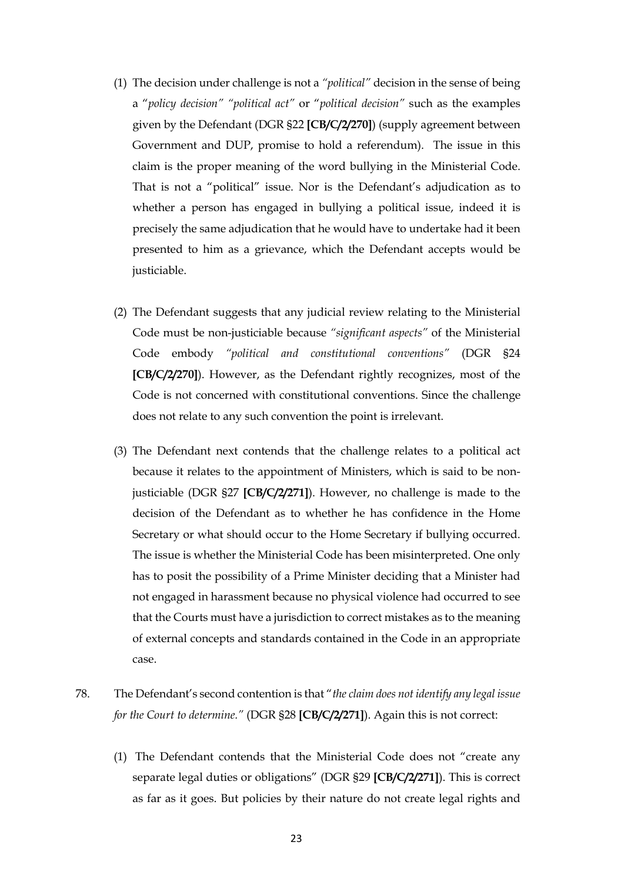- (1) The decision under challenge is not a *"political"* decision in the sense of being a "*policy decision" "political act"* or "*political decision"* such as the examples given by the Defendant (DGR §22 **[CB/C/2/270]**) (supply agreement between Government and DUP, promise to hold a referendum). The issue in this claim is the proper meaning of the word bullying in the Ministerial Code. That is not a "political" issue. Nor is the Defendant's adjudication as to whether a person has engaged in bullying a political issue, indeed it is precisely the same adjudication that he would have to undertake had it been presented to him as a grievance, which the Defendant accepts would be justiciable.
- (2) The Defendant suggests that any judicial review relating to the Ministerial Code must be non-justiciable because *"significant aspects"* of the Ministerial Code embody *"political and constitutional conventions"* (DGR §24 **[CB/C/2/270]**). However, as the Defendant rightly recognizes, most of the Code is not concerned with constitutional conventions. Since the challenge does not relate to any such convention the point is irrelevant.
- (3) The Defendant next contends that the challenge relates to a political act because it relates to the appointment of Ministers, which is said to be nonjusticiable (DGR §27 **[CB/C/2/271]**). However, no challenge is made to the decision of the Defendant as to whether he has confidence in the Home Secretary or what should occur to the Home Secretary if bullying occurred. The issue is whether the Ministerial Code has been misinterpreted. One only has to posit the possibility of a Prime Minister deciding that a Minister had not engaged in harassment because no physical violence had occurred to see that the Courts must have a jurisdiction to correct mistakes as to the meaning of external concepts and standards contained in the Code in an appropriate case.
- 78. The Defendant's second contention is that "*the claim does not identify any legal issue for the Court to determine."* (DGR §28 **[CB/C/2/271]**). Again this is not correct:
	- (1) The Defendant contends that the Ministerial Code does not "create any separate legal duties or obligations" (DGR §29 **[CB/C/2/271]**). This is correct as far as it goes. But policies by their nature do not create legal rights and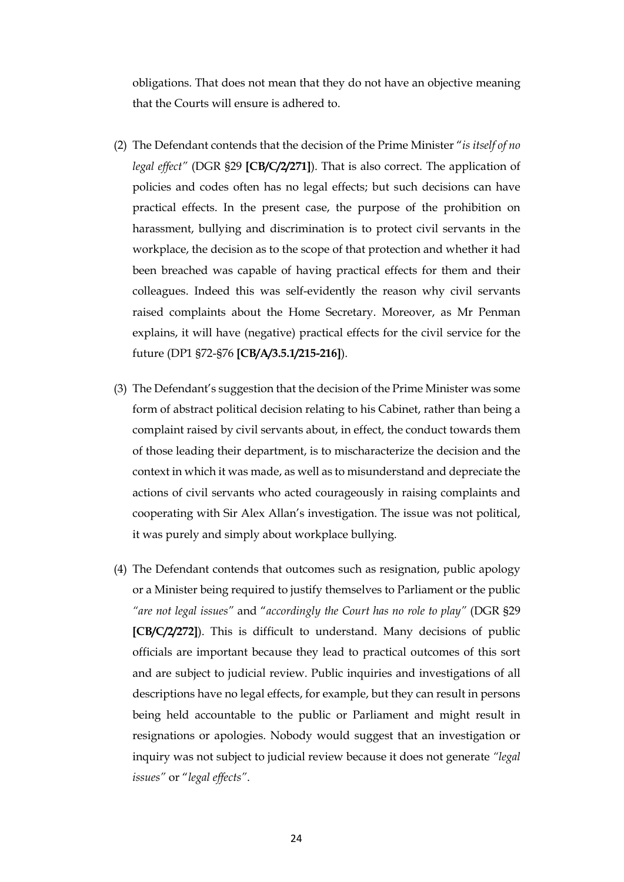obligations. That does not mean that they do not have an objective meaning that the Courts will ensure is adhered to.

- (2) The Defendant contends that the decision of the Prime Minister "*is itself of no legal effect"* (DGR §29 **[CB/C/2/271]**). That is also correct. The application of policies and codes often has no legal effects; but such decisions can have practical effects. In the present case, the purpose of the prohibition on harassment, bullying and discrimination is to protect civil servants in the workplace, the decision as to the scope of that protection and whether it had been breached was capable of having practical effects for them and their colleagues. Indeed this was self-evidently the reason why civil servants raised complaints about the Home Secretary. Moreover, as Mr Penman explains, it will have (negative) practical effects for the civil service for the future (DP1 §72-§76 **[CB/A/3.5.1/215-216]**).
- (3) The Defendant's suggestion that the decision of the Prime Minister was some form of abstract political decision relating to his Cabinet, rather than being a complaint raised by civil servants about, in effect, the conduct towards them of those leading their department, is to mischaracterize the decision and the context in which it was made, as well as to misunderstand and depreciate the actions of civil servants who acted courageously in raising complaints and cooperating with Sir Alex Allan's investigation. The issue was not political, it was purely and simply about workplace bullying.
- (4) The Defendant contends that outcomes such as resignation, public apology or a Minister being required to justify themselves to Parliament or the public *"are not legal issues"* and "*accordingly the Court has no role to play"* (DGR §29 **[CB/C/2/272]**). This is difficult to understand. Many decisions of public officials are important because they lead to practical outcomes of this sort and are subject to judicial review. Public inquiries and investigations of all descriptions have no legal effects, for example, but they can result in persons being held accountable to the public or Parliament and might result in resignations or apologies. Nobody would suggest that an investigation or inquiry was not subject to judicial review because it does not generate *"legal issues"* or "*legal effects"*.